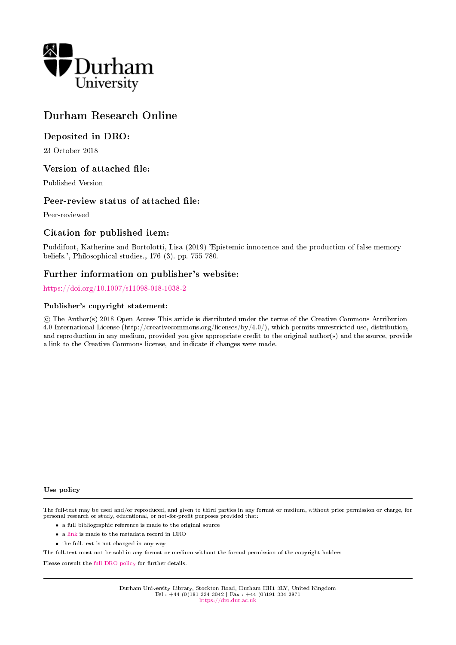

# Durham Research Online

# Deposited in DRO:

23 October 2018

# Version of attached file:

Published Version

# Peer-review status of attached file:

Peer-reviewed

# Citation for published item:

Puddifoot, Katherine and Bortolotti, Lisa (2019) 'Epistemic innocence and the production of false memory beliefs.', Philosophical studies., 176 (3). pp. 755-780.

# Further information on publisher's website:

<https://doi.org/10.1007/s11098-018-1038-2>

## Publisher's copyright statement:

 c The Author(s) 2018 Open Access This article is distributed under the terms of the Creative Commons Attribution 4.0 International License (http://creativecommons.org/licenses/by/4.0/), which permits unrestricted use, distribution, and reproduction in any medium, provided you give appropriate credit to the original author(s) and the source, provide a link to the Creative Commons license, and indicate if changes were made.

#### Use policy

The full-text may be used and/or reproduced, and given to third parties in any format or medium, without prior permission or charge, for personal research or study, educational, or not-for-profit purposes provided that:

- a full bibliographic reference is made to the original source
- a [link](http://dro.dur.ac.uk/26585/) is made to the metadata record in DRO
- the full-text is not changed in any way

The full-text must not be sold in any format or medium without the formal permission of the copyright holders.

Please consult the [full DRO policy](https://dro.dur.ac.uk/policies/usepolicy.pdf) for further details.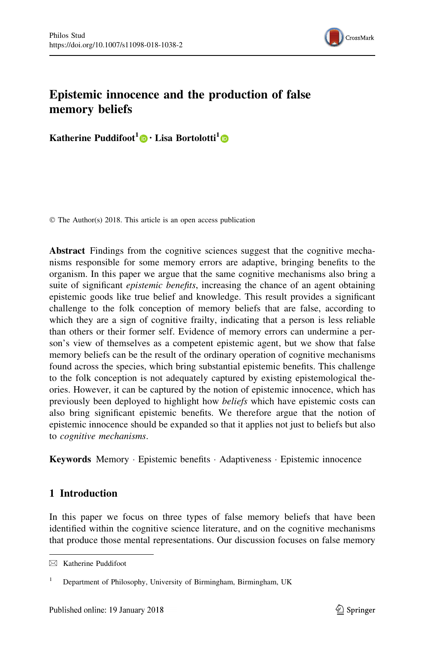

# Epistemic innocence and the production of false memory beliefs

Katherine Puddifoot<sup>1</sup> [•](http://orcid.org/0000-0002-4491-0204) Lisa Bortolotti<sup>1</sup> •

© The Author(s) 2018. This article is an open access publication

Abstract Findings from the cognitive sciences suggest that the cognitive mechanisms responsible for some memory errors are adaptive, bringing benefits to the organism. In this paper we argue that the same cognitive mechanisms also bring a suite of significant *epistemic benefits*, increasing the chance of an agent obtaining epistemic goods like true belief and knowledge. This result provides a significant challenge to the folk conception of memory beliefs that are false, according to which they are a sign of cognitive frailty, indicating that a person is less reliable than others or their former self. Evidence of memory errors can undermine a person's view of themselves as a competent epistemic agent, but we show that false memory beliefs can be the result of the ordinary operation of cognitive mechanisms found across the species, which bring substantial epistemic benefits. This challenge to the folk conception is not adequately captured by existing epistemological theories. However, it can be captured by the notion of epistemic innocence, which has previously been deployed to highlight how *beliefs* which have epistemic costs can also bring significant epistemic benefits. We therefore argue that the notion of epistemic innocence should be expanded so that it applies not just to beliefs but also to cognitive mechanisms.

Keywords Memory - Epistemic benefits - Adaptiveness - Epistemic innocence

## 1 Introduction

In this paper we focus on three types of false memory beliefs that have been identified within the cognitive science literature, and on the cognitive mechanisms that produce those mental representations. Our discussion focuses on false memory

 $\boxtimes$  Katherine Puddifoot

<sup>1</sup> Department of Philosophy, University of Birmingham, Birmingham, UK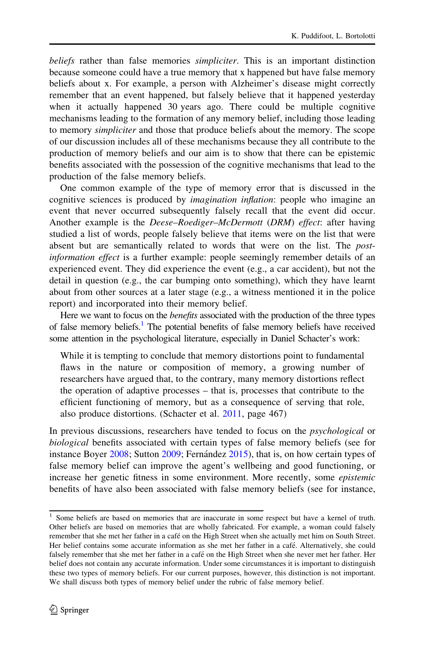beliefs rather than false memories *simpliciter*. This is an important distinction because someone could have a true memory that x happened but have false memory beliefs about x. For example, a person with Alzheimer's disease might correctly remember that an event happened, but falsely believe that it happened yesterday when it actually happened 30 years ago. There could be multiple cognitive mechanisms leading to the formation of any memory belief, including those leading to memory simpliciter and those that produce beliefs about the memory. The scope of our discussion includes all of these mechanisms because they all contribute to the production of memory beliefs and our aim is to show that there can be epistemic benefits associated with the possession of the cognitive mechanisms that lead to the production of the false memory beliefs.

One common example of the type of memory error that is discussed in the cognitive sciences is produced by imagination inflation: people who imagine an event that never occurred subsequently falsely recall that the event did occur. Another example is the *Deese–Roediger–McDermott* (*DRM*) effect: after having studied a list of words, people falsely believe that items were on the list that were absent but are semantically related to words that were on the list. The postinformation effect is a further example: people seemingly remember details of an experienced event. They did experience the event (e.g., a car accident), but not the detail in question (e.g., the car bumping onto something), which they have learnt about from other sources at a later stage (e.g., a witness mentioned it in the police report) and incorporated into their memory belief.

Here we want to focus on the *benefits* associated with the production of the three types of false memory beliefs.<sup>1</sup> The potential benefits of false memory beliefs have received some attention in the psychological literature, especially in Daniel Schacter's work:

While it is tempting to conclude that memory distortions point to fundamental flaws in the nature or composition of memory, a growing number of researchers have argued that, to the contrary, many memory distortions reflect the operation of adaptive processes – that is, processes that contribute to the efficient functioning of memory, but as a consequence of serving that role, also produce distortions. (Schacter et al. [2011](#page-26-0), page 467)

In previous discussions, researchers have tended to focus on the psychological or biological benefits associated with certain types of false memory beliefs (see for instance Boyer  $2008$ ; Sutton  $2009$ ; Fernandez  $2015$ ), that is, on how certain types of false memory belief can improve the agent's wellbeing and good functioning, or increase her genetic fitness in some environment. More recently, some epistemic benefits of have also been associated with false memory beliefs (see for instance,

 $<sup>1</sup>$  Some beliefs are based on memories that are inaccurate in some respect but have a kernel of truth.</sup> Other beliefs are based on memories that are wholly fabricated. For example, a woman could falsely remember that she met her father in a café on the High Street when she actually met him on South Street. Her belief contains some accurate information as she met her father in a café. Alternatively, she could falsely remember that she met her father in a café on the High Street when she never met her father. Her belief does not contain any accurate information. Under some circumstances it is important to distinguish these two types of memory beliefs. For our current purposes, however, this distinction is not important. We shall discuss both types of memory belief under the rubric of false memory belief.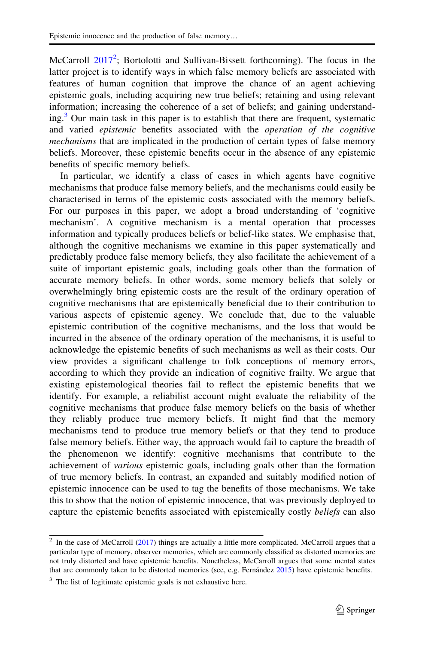McCarroll  $2017^2$  $2017^2$ ; Bortolotti and Sullivan-Bissett forthcoming). The focus in the latter project is to identify ways in which false memory beliefs are associated with features of human cognition that improve the chance of an agent achieving epistemic goals, including acquiring new true beliefs; retaining and using relevant information; increasing the coherence of a set of beliefs; and gaining understand $ing<sup>3</sup>$  Our main task in this paper is to establish that there are frequent, systematic and varied epistemic benefits associated with the operation of the cognitive mechanisms that are implicated in the production of certain types of false memory beliefs. Moreover, these epistemic benefits occur in the absence of any epistemic benefits of specific memory beliefs.

In particular, we identify a class of cases in which agents have cognitive mechanisms that produce false memory beliefs, and the mechanisms could easily be characterised in terms of the epistemic costs associated with the memory beliefs. For our purposes in this paper, we adopt a broad understanding of 'cognitive mechanism'. A cognitive mechanism is a mental operation that processes information and typically produces beliefs or belief-like states. We emphasise that, although the cognitive mechanisms we examine in this paper systematically and predictably produce false memory beliefs, they also facilitate the achievement of a suite of important epistemic goals, including goals other than the formation of accurate memory beliefs. In other words, some memory beliefs that solely or overwhelmingly bring epistemic costs are the result of the ordinary operation of cognitive mechanisms that are epistemically beneficial due to their contribution to various aspects of epistemic agency. We conclude that, due to the valuable epistemic contribution of the cognitive mechanisms, and the loss that would be incurred in the absence of the ordinary operation of the mechanisms, it is useful to acknowledge the epistemic benefits of such mechanisms as well as their costs. Our view provides a significant challenge to folk conceptions of memory errors, according to which they provide an indication of cognitive frailty. We argue that existing epistemological theories fail to reflect the epistemic benefits that we identify. For example, a reliabilist account might evaluate the reliability of the cognitive mechanisms that produce false memory beliefs on the basis of whether they reliably produce true memory beliefs. It might find that the memory mechanisms tend to produce true memory beliefs or that they tend to produce false memory beliefs. Either way, the approach would fail to capture the breadth of the phenomenon we identify: cognitive mechanisms that contribute to the achievement of various epistemic goals, including goals other than the formation of true memory beliefs. In contrast, an expanded and suitably modified notion of epistemic innocence can be used to tag the benefits of those mechanisms. We take this to show that the notion of epistemic innocence, that was previously deployed to capture the epistemic benefits associated with epistemically costly *beliefs* can also

 $2$  In the case of McCarroll ([2017\)](#page-25-0) things are actually a little more complicated. McCarroll argues that a particular type of memory, observer memories, which are commonly classified as distorted memories are not truly distorted and have epistemic benefits. Nonetheless, McCarroll argues that some mental states that are commonly taken to be distorted memories (see, e.g. Fernández [2015\)](#page-24-0) have epistemic benefits.

 $3$  The list of legitimate epistemic goals is not exhaustive here.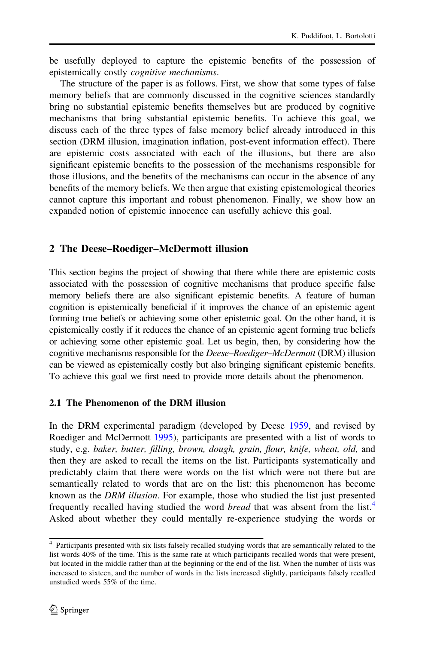<span id="page-4-0"></span>be usefully deployed to capture the epistemic benefits of the possession of epistemically costly cognitive mechanisms.

The structure of the paper is as follows. First, we show that some types of false memory beliefs that are commonly discussed in the cognitive sciences standardly bring no substantial epistemic benefits themselves but are produced by cognitive mechanisms that bring substantial epistemic benefits. To achieve this goal, we discuss each of the three types of false memory belief already introduced in this section (DRM illusion, imagination inflation, post-event information effect). There are epistemic costs associated with each of the illusions, but there are also significant epistemic benefits to the possession of the mechanisms responsible for those illusions, and the benefits of the mechanisms can occur in the absence of any benefits of the memory beliefs. We then argue that existing epistemological theories cannot capture this important and robust phenomenon. Finally, we show how an expanded notion of epistemic innocence can usefully achieve this goal.

## 2 The Deese–Roediger–McDermott illusion

This section begins the project of showing that there while there are epistemic costs associated with the possession of cognitive mechanisms that produce specific false memory beliefs there are also significant epistemic benefits. A feature of human cognition is epistemically beneficial if it improves the chance of an epistemic agent forming true beliefs or achieving some other epistemic goal. On the other hand, it is epistemically costly if it reduces the chance of an epistemic agent forming true beliefs or achieving some other epistemic goal. Let us begin, then, by considering how the cognitive mechanisms responsible for the *Deese–Roediger–McDermott* (DRM) illusion can be viewed as epistemically costly but also bringing significant epistemic benefits. To achieve this goal we first need to provide more details about the phenomenon.

## 2.1 The Phenomenon of the DRM illusion

In the DRM experimental paradigm (developed by Deese [1959](#page-24-0), and revised by Roediger and McDermott [1995](#page-25-0)), participants are presented with a list of words to study, e.g. baker, butter, filling, brown, dough, grain, flour, knife, wheat, old, and then they are asked to recall the items on the list. Participants systematically and predictably claim that there were words on the list which were not there but are semantically related to words that are on the list: this phenomenon has become known as the DRM illusion. For example, those who studied the list just presented frequently recalled having studied the word *bread* that was absent from the list.<sup>4</sup> Asked about whether they could mentally re-experience studying the words or

<sup>&</sup>lt;sup>4</sup> Participants presented with six lists falsely recalled studying words that are semantically related to the list words 40% of the time. This is the same rate at which participants recalled words that were present, but located in the middle rather than at the beginning or the end of the list. When the number of lists was increased to sixteen, and the number of words in the lists increased slightly, participants falsely recalled unstudied words 55% of the time.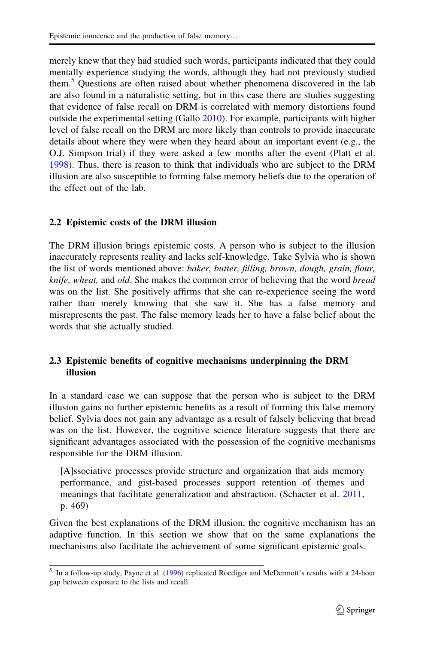<span id="page-5-0"></span>merely knew that they had studied such words, participants indicated that they could mentally experience studying the words, although they had not previously studied them.<sup>5</sup> Questions are often raised about whether phenomena discovered in the lab are also found in a naturalistic setting, but in this case there are studies suggesting that evidence of false recall on DRM is correlated with memory distortions found outside the experimental setting (Gallo [2010](#page-24-0)). For example, participants with higher level of false recall on the DRM are more likely than controls to provide inaccurate details about where they were when they heard about an important event (e.g., the O.J. Simpson trial) if they were asked a few months after the event (Platt et al. [1998\)](#page-25-0). Thus, there is reason to think that individuals who are subject to the DRM illusion are also susceptible to forming false memory beliefs due to the operation of the effect out of the lab.

## 2.2 Epistemic costs of the DRM illusion

The DRM illusion brings epistemic costs. A person who is subject to the illusion inaccurately represents reality and lacks self-knowledge. Take Sylvia who is shown the list of words mentioned above: baker, butter, filling, brown, dough, grain, flour, knife, wheat, and old. She makes the common error of believing that the word bread was on the list. She positively affirms that she can re-experience seeing the word rather than merely knowing that she saw it. She has a false memory and misrepresents the past. The false memory leads her to have a false belief about the words that she actually studied.

## 2.3 Epistemic benefits of cognitive mechanisms underpinning the DRM illusion

In a standard case we can suppose that the person who is subject to the DRM illusion gains no further epistemic benefits as a result of forming this false memory belief. Sylvia does not gain any advantage as a result of falsely believing that bread was on the list. However, the cognitive science literature suggests that there are significant advantages associated with the possession of the cognitive mechanisms responsible for the DRM illusion.

[A]ssociative processes provide structure and organization that aids memory performance, and gist-based processes support retention of themes and meanings that facilitate generalization and abstraction. (Schacter et al. [2011,](#page-26-0) p. 469)

Given the best explanations of the DRM illusion, the cognitive mechanism has an adaptive function. In this section we show that on the same explanations the mechanisms also facilitate the achievement of some significant epistemic goals.

 $\frac{5}{10}$  In a follow-up study, Payne et al. [\(1996](#page-25-0)) replicated Roediger and McDermott's results with a 24-hour gap between exposure to the lists and recall.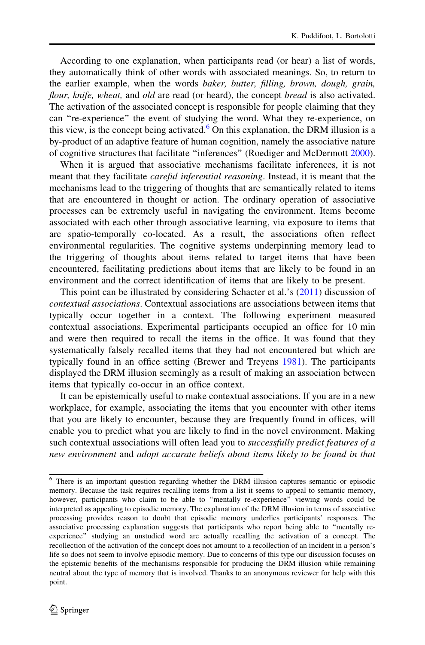According to one explanation, when participants read (or hear) a list of words, they automatically think of other words with associated meanings. So, to return to the earlier example, when the words baker, butter, filling, brown, dough, grain, flour, knife, wheat, and old are read (or heard), the concept bread is also activated. The activation of the associated concept is responsible for people claiming that they can ''re-experience'' the event of studying the word. What they re-experience, on this view, is the concept being activated.<sup>6</sup> On this explanation, the DRM illusion is a by-product of an adaptive feature of human cognition, namely the associative nature of cognitive structures that facilitate ''inferences'' (Roediger and McDermott [2000\)](#page-25-0).

When it is argued that associative mechanisms facilitate inferences, it is not meant that they facilitate *careful inferential reasoning*. Instead, it is meant that the mechanisms lead to the triggering of thoughts that are semantically related to items that are encountered in thought or action. The ordinary operation of associative processes can be extremely useful in navigating the environment. Items become associated with each other through associative learning, via exposure to items that are spatio-temporally co-located. As a result, the associations often reflect environmental regularities. The cognitive systems underpinning memory lead to the triggering of thoughts about items related to target items that have been encountered, facilitating predictions about items that are likely to be found in an environment and the correct identification of items that are likely to be present.

This point can be illustrated by considering Schacter et al.'s ([2011\)](#page-26-0) discussion of contextual associations. Contextual associations are associations between items that typically occur together in a context. The following experiment measured contextual associations. Experimental participants occupied an office for 10 min and were then required to recall the items in the office. It was found that they systematically falsely recalled items that they had not encountered but which are typically found in an office setting (Brewer and Treyens [1981](#page-24-0)). The participants displayed the DRM illusion seemingly as a result of making an association between items that typically co-occur in an office context.

It can be epistemically useful to make contextual associations. If you are in a new workplace, for example, associating the items that you encounter with other items that you are likely to encounter, because they are frequently found in offices, will enable you to predict what you are likely to find in the novel environment. Making such contextual associations will often lead you to *successfully predict features of a* new environment and adopt accurate beliefs about items likely to be found in that

<sup>6</sup> There is an important question regarding whether the DRM illusion captures semantic or episodic memory. Because the task requires recalling items from a list it seems to appeal to semantic memory, however, participants who claim to be able to ''mentally re-experience'' viewing words could be interpreted as appealing to episodic memory. The explanation of the DRM illusion in terms of associative processing provides reason to doubt that episodic memory underlies participants' responses. The associative processing explanation suggests that participants who report being able to ''mentally reexperience'' studying an unstudied word are actually recalling the activation of a concept. The recollection of the activation of the concept does not amount to a recollection of an incident in a person's life so does not seem to involve episodic memory. Due to concerns of this type our discussion focuses on the epistemic benefits of the mechanisms responsible for producing the DRM illusion while remaining neutral about the type of memory that is involved. Thanks to an anonymous reviewer for help with this point.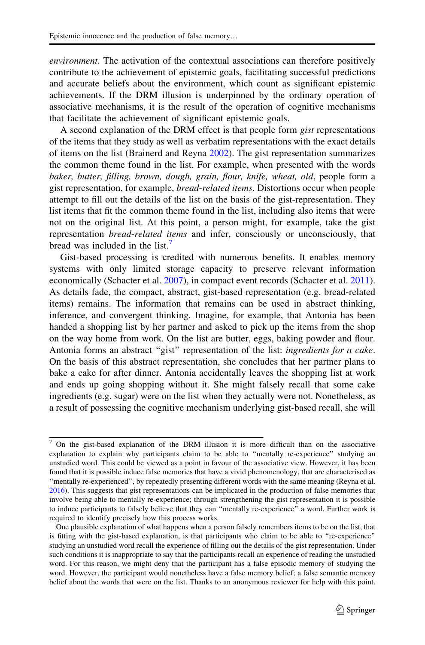environment. The activation of the contextual associations can therefore positively contribute to the achievement of epistemic goals, facilitating successful predictions and accurate beliefs about the environment, which count as significant epistemic achievements. If the DRM illusion is underpinned by the ordinary operation of associative mechanisms, it is the result of the operation of cognitive mechanisms that facilitate the achievement of significant epistemic goals.

A second explanation of the DRM effect is that people form gist representations of the items that they study as well as verbatim representations with the exact details of items on the list (Brainerd and Reyna [2002\)](#page-24-0). The gist representation summarizes the common theme found in the list. For example, when presented with the words baker, butter, filling, brown, dough, grain, flour, knife, wheat, old, people form a gist representation, for example, bread-related items. Distortions occur when people attempt to fill out the details of the list on the basis of the gist-representation. They list items that fit the common theme found in the list, including also items that were not on the original list. At this point, a person might, for example, take the gist representation bread-related items and infer, consciously or unconsciously, that bread was included in the list.<sup>7</sup>

Gist-based processing is credited with numerous benefits. It enables memory systems with only limited storage capacity to preserve relevant information economically (Schacter et al. [2007\)](#page-25-0), in compact event records (Schacter et al. [2011\)](#page-26-0). As details fade, the compact, abstract, gist-based representation (e.g. bread-related items) remains. The information that remains can be used in abstract thinking, inference, and convergent thinking. Imagine, for example, that Antonia has been handed a shopping list by her partner and asked to pick up the items from the shop on the way home from work. On the list are butter, eggs, baking powder and flour. Antonia forms an abstract "gist" representation of the list: *ingredients for a cake*. On the basis of this abstract representation, she concludes that her partner plans to bake a cake for after dinner. Antonia accidentally leaves the shopping list at work and ends up going shopping without it. She might falsely recall that some cake ingredients (e.g. sugar) were on the list when they actually were not. Nonetheless, as a result of possessing the cognitive mechanism underlying gist-based recall, she will

<sup>7</sup> On the gist-based explanation of the DRM illusion it is more difficult than on the associative explanation to explain why participants claim to be able to ''mentally re-experience'' studying an unstudied word. This could be viewed as a point in favour of the associative view. However, it has been found that it is possible induce false memories that have a vivid phenomenology, that are characterised as ''mentally re-experienced'', by repeatedly presenting different words with the same meaning (Reyna et al. [2016\)](#page-25-0). This suggests that gist representations can be implicated in the production of false memories that involve being able to mentally re-experience; through strengthening the gist representation it is possible to induce participants to falsely believe that they can ''mentally re-experience'' a word. Further work is required to identify precisely how this process works.

One plausible explanation of what happens when a person falsely remembers items to be on the list, that is fitting with the gist-based explanation, is that participants who claim to be able to ''re-experience'' studying an unstudied word recall the experience of filling out the details of the gist representation. Under such conditions it is inappropriate to say that the participants recall an experience of reading the unstudied word. For this reason, we might deny that the participant has a false episodic memory of studying the word. However, the participant would nonetheless have a false memory belief; a false semantic memory belief about the words that were on the list. Thanks to an anonymous reviewer for help with this point.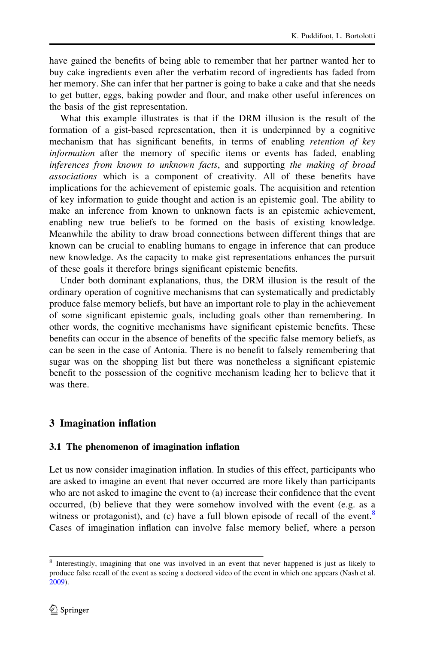have gained the benefits of being able to remember that her partner wanted her to buy cake ingredients even after the verbatim record of ingredients has faded from her memory. She can infer that her partner is going to bake a cake and that she needs to get butter, eggs, baking powder and flour, and make other useful inferences on the basis of the gist representation.

What this example illustrates is that if the DRM illusion is the result of the formation of a gist-based representation, then it is underpinned by a cognitive mechanism that has significant benefits, in terms of enabling *retention of key* information after the memory of specific items or events has faded, enabling inferences from known to unknown facts, and supporting the making of broad associations which is a component of creativity. All of these benefits have implications for the achievement of epistemic goals. The acquisition and retention of key information to guide thought and action is an epistemic goal. The ability to make an inference from known to unknown facts is an epistemic achievement, enabling new true beliefs to be formed on the basis of existing knowledge. Meanwhile the ability to draw broad connections between different things that are known can be crucial to enabling humans to engage in inference that can produce new knowledge. As the capacity to make gist representations enhances the pursuit of these goals it therefore brings significant epistemic benefits.

Under both dominant explanations, thus, the DRM illusion is the result of the ordinary operation of cognitive mechanisms that can systematically and predictably produce false memory beliefs, but have an important role to play in the achievement of some significant epistemic goals, including goals other than remembering. In other words, the cognitive mechanisms have significant epistemic benefits. These benefits can occur in the absence of benefits of the specific false memory beliefs, as can be seen in the case of Antonia. There is no benefit to falsely remembering that sugar was on the shopping list but there was nonetheless a significant epistemic benefit to the possession of the cognitive mechanism leading her to believe that it was there.

## 3 Imagination inflation

## 3.1 The phenomenon of imagination inflation

Let us now consider imagination inflation. In studies of this effect, participants who are asked to imagine an event that never occurred are more likely than participants who are not asked to imagine the event to (a) increase their confidence that the event occurred, (b) believe that they were somehow involved with the event (e.g. as a witness or protagonist), and (c) have a full blown episode of recall of the event.<sup>8</sup> Cases of imagination inflation can involve false memory belief, where a person

<sup>8</sup> Interestingly, imagining that one was involved in an event that never happened is just as likely to produce false recall of the event as seeing a doctored video of the event in which one appears (Nash et al. [2009\)](#page-25-0).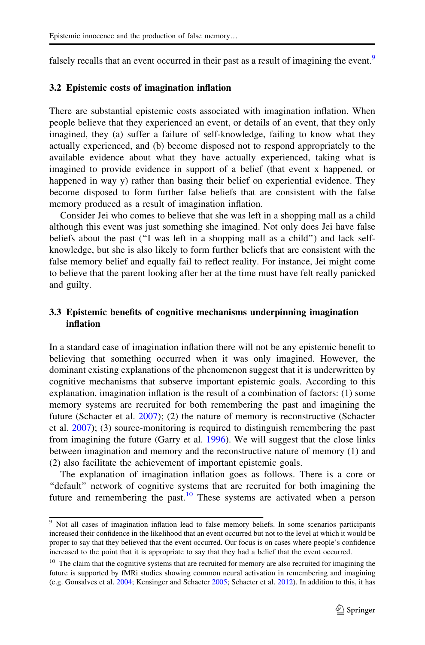<span id="page-9-0"></span>falsely recalls that an event occurred in their past as a result of imagining the event.<sup>9</sup>

#### 3.2 Epistemic costs of imagination inflation

There are substantial epistemic costs associated with imagination inflation. When people believe that they experienced an event, or details of an event, that they only imagined, they (a) suffer a failure of self-knowledge, failing to know what they actually experienced, and (b) become disposed not to respond appropriately to the available evidence about what they have actually experienced, taking what is imagined to provide evidence in support of a belief (that event x happened, or happened in way y) rather than basing their belief on experiential evidence. They become disposed to form further false beliefs that are consistent with the false memory produced as a result of imagination inflation.

Consider Jei who comes to believe that she was left in a shopping mall as a child although this event was just something she imagined. Not only does Jei have false beliefs about the past (''I was left in a shopping mall as a child'') and lack selfknowledge, but she is also likely to form further beliefs that are consistent with the false memory belief and equally fail to reflect reality. For instance, Jei might come to believe that the parent looking after her at the time must have felt really panicked and guilty.

## 3.3 Epistemic benefits of cognitive mechanisms underpinning imagination inflation

In a standard case of imagination inflation there will not be any epistemic benefit to believing that something occurred when it was only imagined. However, the dominant existing explanations of the phenomenon suggest that it is underwritten by cognitive mechanisms that subserve important epistemic goals. According to this explanation, imagination inflation is the result of a combination of factors: (1) some memory systems are recruited for both remembering the past and imagining the future (Schacter et al. [2007](#page-25-0)); (2) the nature of memory is reconstructive (Schacter et al. [2007](#page-25-0)); (3) source-monitoring is required to distinguish remembering the past from imagining the future (Garry et al. [1996](#page-24-0)). We will suggest that the close links between imagination and memory and the reconstructive nature of memory (1) and (2) also facilitate the achievement of important epistemic goals.

The explanation of imagination inflation goes as follows. There is a core or "default" network of cognitive systems that are recruited for both imagining the future and remembering the past.<sup>10</sup> These systems are activated when a person

<sup>&</sup>lt;sup>9</sup> Not all cases of imagination inflation lead to false memory beliefs. In some scenarios participants increased their confidence in the likelihood that an event occurred but not to the level at which it would be proper to say that they believed that the event occurred. Our focus is on cases where people's confidence increased to the point that it is appropriate to say that they had a belief that the event occurred.

<sup>&</sup>lt;sup>10</sup> The claim that the cognitive systems that are recruited for memory are also recruited for imagining the future is supported by fMRi studies showing common neural activation in remembering and imagining (e.g. Gonsalves et al. [2004;](#page-25-0) Kensinger and Schacter [2005](#page-25-0); Schacter et al. [2012](#page-25-0)). In addition to this, it has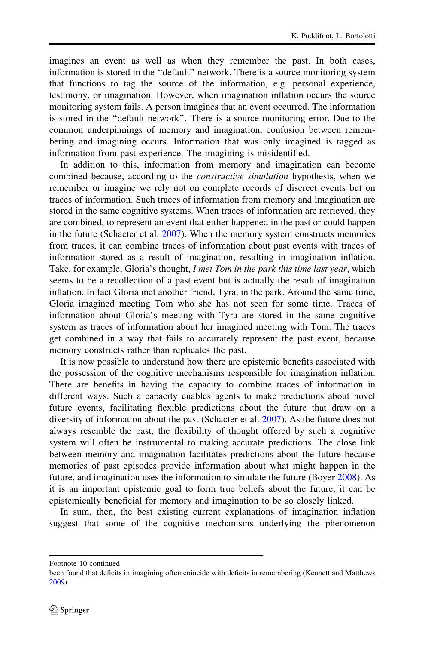imagines an event as well as when they remember the past. In both cases, information is stored in the ''default'' network. There is a source monitoring system that functions to tag the source of the information, e.g. personal experience, testimony, or imagination. However, when imagination inflation occurs the source monitoring system fails. A person imagines that an event occurred. The information is stored in the ''default network''. There is a source monitoring error. Due to the common underpinnings of memory and imagination, confusion between remembering and imagining occurs. Information that was only imagined is tagged as information from past experience. The imagining is misidentified.

In addition to this, information from memory and imagination can become combined because, according to the constructive simulation hypothesis, when we remember or imagine we rely not on complete records of discreet events but on traces of information. Such traces of information from memory and imagination are stored in the same cognitive systems. When traces of information are retrieved, they are combined, to represent an event that either happened in the past or could happen in the future (Schacter et al. [2007](#page-25-0)). When the memory system constructs memories from traces, it can combine traces of information about past events with traces of information stored as a result of imagination, resulting in imagination inflation. Take, for example, Gloria's thought, I met Tom in the park this time last year, which seems to be a recollection of a past event but is actually the result of imagination inflation. In fact Gloria met another friend, Tyra, in the park. Around the same time, Gloria imagined meeting Tom who she has not seen for some time. Traces of information about Gloria's meeting with Tyra are stored in the same cognitive system as traces of information about her imagined meeting with Tom. The traces get combined in a way that fails to accurately represent the past event, because memory constructs rather than replicates the past.

It is now possible to understand how there are epistemic benefits associated with the possession of the cognitive mechanisms responsible for imagination inflation. There are benefits in having the capacity to combine traces of information in different ways. Such a capacity enables agents to make predictions about novel future events, facilitating flexible predictions about the future that draw on a diversity of information about the past (Schacter et al. [2007](#page-25-0)). As the future does not always resemble the past, the flexibility of thought offered by such a cognitive system will often be instrumental to making accurate predictions. The close link between memory and imagination facilitates predictions about the future because memories of past episodes provide information about what might happen in the future, and imagination uses the information to simulate the future (Boyer [2008](#page-24-0)). As it is an important epistemic goal to form true beliefs about the future, it can be epistemically beneficial for memory and imagination to be so closely linked.

In sum, then, the best existing current explanations of imagination inflation suggest that some of the cognitive mechanisms underlying the phenomenon

Footnote 10 continued

been found that deficits in imagining often coincide with deficits in remembering (Kennett and Matthews [2009\)](#page-25-0).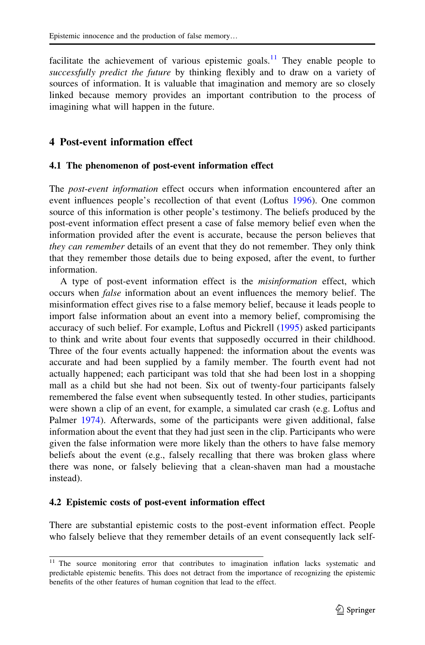<span id="page-11-0"></span>facilitate the achievement of various epistemic goals.<sup>11</sup> They enable people to successfully predict the future by thinking flexibly and to draw on a variety of sources of information. It is valuable that imagination and memory are so closely linked because memory provides an important contribution to the process of imagining what will happen in the future.

## 4 Post-event information effect

#### 4.1 The phenomenon of post-event information effect

The *post-event information* effect occurs when information encountered after an event influences people's recollection of that event (Loftus [1996\)](#page-25-0). One common source of this information is other people's testimony. The beliefs produced by the post-event information effect present a case of false memory belief even when the information provided after the event is accurate, because the person believes that they can remember details of an event that they do not remember. They only think that they remember those details due to being exposed, after the event, to further information.

A type of post-event information effect is the misinformation effect, which occurs when false information about an event influences the memory belief. The misinformation effect gives rise to a false memory belief, because it leads people to import false information about an event into a memory belief, compromising the accuracy of such belief. For example, Loftus and Pickrell ([1995\)](#page-25-0) asked participants to think and write about four events that supposedly occurred in their childhood. Three of the four events actually happened: the information about the events was accurate and had been supplied by a family member. The fourth event had not actually happened; each participant was told that she had been lost in a shopping mall as a child but she had not been. Six out of twenty-four participants falsely remembered the false event when subsequently tested. In other studies, participants were shown a clip of an event, for example, a simulated car crash (e.g. Loftus and Palmer [1974\)](#page-25-0). Afterwards, some of the participants were given additional, false information about the event that they had just seen in the clip. Participants who were given the false information were more likely than the others to have false memory beliefs about the event (e.g., falsely recalling that there was broken glass where there was none, or falsely believing that a clean-shaven man had a moustache instead).

#### 4.2 Epistemic costs of post-event information effect

There are substantial epistemic costs to the post-event information effect. People who falsely believe that they remember details of an event consequently lack self-

<sup>&</sup>lt;sup>11</sup> The source monitoring error that contributes to imagination inflation lacks systematic and predictable epistemic benefits. This does not detract from the importance of recognizing the epistemic benefits of the other features of human cognition that lead to the effect.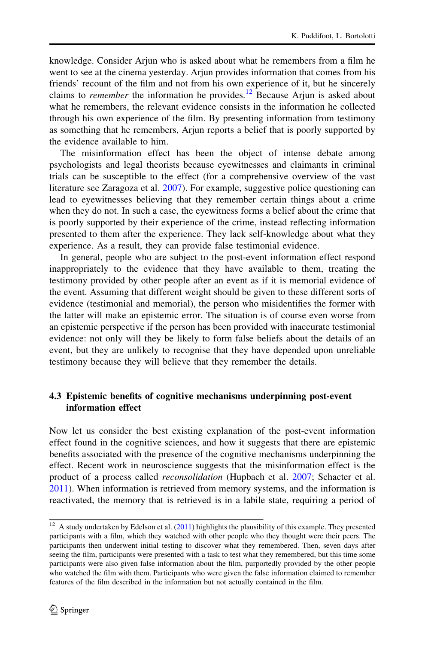<span id="page-12-0"></span>knowledge. Consider Arjun who is asked about what he remembers from a film he went to see at the cinema yesterday. Arjun provides information that comes from his friends' recount of the film and not from his own experience of it, but he sincerely claims to *remember* the information he provides.<sup>12</sup> Because Arjun is asked about what he remembers, the relevant evidence consists in the information he collected through his own experience of the film. By presenting information from testimony as something that he remembers, Arjun reports a belief that is poorly supported by the evidence available to him.

The misinformation effect has been the object of intense debate among psychologists and legal theorists because eyewitnesses and claimants in criminal trials can be susceptible to the effect (for a comprehensive overview of the vast literature see Zaragoza et al. [2007](#page-26-0)). For example, suggestive police questioning can lead to eyewitnesses believing that they remember certain things about a crime when they do not. In such a case, the eyewitness forms a belief about the crime that is poorly supported by their experience of the crime, instead reflecting information presented to them after the experience. They lack self-knowledge about what they experience. As a result, they can provide false testimonial evidence.

In general, people who are subject to the post-event information effect respond inappropriately to the evidence that they have available to them, treating the testimony provided by other people after an event as if it is memorial evidence of the event. Assuming that different weight should be given to these different sorts of evidence (testimonial and memorial), the person who misidentifies the former with the latter will make an epistemic error. The situation is of course even worse from an epistemic perspective if the person has been provided with inaccurate testimonial evidence: not only will they be likely to form false beliefs about the details of an event, but they are unlikely to recognise that they have depended upon unreliable testimony because they will believe that they remember the details.

## 4.3 Epistemic benefits of cognitive mechanisms underpinning post-event information effect

Now let us consider the best existing explanation of the post-event information effect found in the cognitive sciences, and how it suggests that there are epistemic benefits associated with the presence of the cognitive mechanisms underpinning the effect. Recent work in neuroscience suggests that the misinformation effect is the product of a process called reconsolidation (Hupbach et al. [2007](#page-25-0); Schacter et al. [2011\)](#page-26-0). When information is retrieved from memory systems, and the information is reactivated, the memory that is retrieved is in a labile state, requiring a period of

 $\frac{12}{12}$  A study undertaken by Edelson et al. ([2011\)](#page-24-0) highlights the plausibility of this example. They presented participants with a film, which they watched with other people who they thought were their peers. The participants then underwent initial testing to discover what they remembered. Then, seven days after seeing the film, participants were presented with a task to test what they remembered, but this time some participants were also given false information about the film, purportedly provided by the other people who watched the film with them. Participants who were given the false information claimed to remember features of the film described in the information but not actually contained in the film.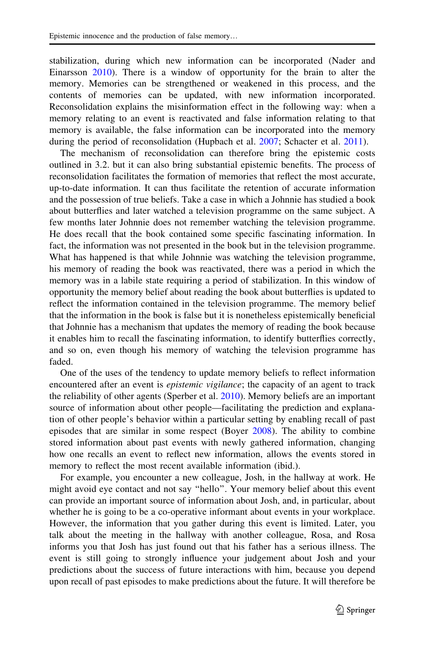stabilization, during which new information can be incorporated (Nader and Einarsson [2010\)](#page-25-0). There is a window of opportunity for the brain to alter the memory. Memories can be strengthened or weakened in this process, and the contents of memories can be updated, with new information incorporated. Reconsolidation explains the misinformation effect in the following way: when a memory relating to an event is reactivated and false information relating to that memory is available, the false information can be incorporated into the memory during the period of reconsolidation (Hupbach et al. [2007](#page-25-0); Schacter et al. [2011\)](#page-26-0).

The mechanism of reconsolidation can therefore bring the epistemic costs outlined in 3.2. but it can also bring substantial epistemic benefits. The process of reconsolidation facilitates the formation of memories that reflect the most accurate, up-to-date information. It can thus facilitate the retention of accurate information and the possession of true beliefs. Take a case in which a Johnnie has studied a book about butterflies and later watched a television programme on the same subject. A few months later Johnnie does not remember watching the television programme. He does recall that the book contained some specific fascinating information. In fact, the information was not presented in the book but in the television programme. What has happened is that while Johnnie was watching the television programme, his memory of reading the book was reactivated, there was a period in which the memory was in a labile state requiring a period of stabilization. In this window of opportunity the memory belief about reading the book about butterflies is updated to reflect the information contained in the television programme. The memory belief that the information in the book is false but it is nonetheless epistemically beneficial that Johnnie has a mechanism that updates the memory of reading the book because it enables him to recall the fascinating information, to identify butterflies correctly, and so on, even though his memory of watching the television programme has faded.

One of the uses of the tendency to update memory beliefs to reflect information encountered after an event is epistemic vigilance; the capacity of an agent to track the reliability of other agents (Sperber et al. [2010](#page-26-0)). Memory beliefs are an important source of information about other people—facilitating the prediction and explanation of other people's behavior within a particular setting by enabling recall of past episodes that are similar in some respect (Boyer [2008](#page-24-0)). The ability to combine stored information about past events with newly gathered information, changing how one recalls an event to reflect new information, allows the events stored in memory to reflect the most recent available information (ibid.).

For example, you encounter a new colleague, Josh, in the hallway at work. He might avoid eye contact and not say ''hello''. Your memory belief about this event can provide an important source of information about Josh, and, in particular, about whether he is going to be a co-operative informant about events in your workplace. However, the information that you gather during this event is limited. Later, you talk about the meeting in the hallway with another colleague, Rosa, and Rosa informs you that Josh has just found out that his father has a serious illness. The event is still going to strongly influence your judgement about Josh and your predictions about the success of future interactions with him, because you depend upon recall of past episodes to make predictions about the future. It will therefore be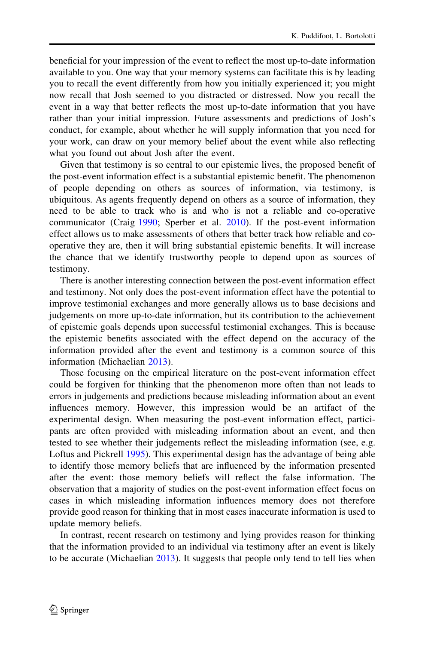beneficial for your impression of the event to reflect the most up-to-date information available to you. One way that your memory systems can facilitate this is by leading you to recall the event differently from how you initially experienced it; you might now recall that Josh seemed to you distracted or distressed. Now you recall the event in a way that better reflects the most up-to-date information that you have rather than your initial impression. Future assessments and predictions of Josh's conduct, for example, about whether he will supply information that you need for your work, can draw on your memory belief about the event while also reflecting what you found out about Josh after the event.

Given that testimony is so central to our epistemic lives, the proposed benefit of the post-event information effect is a substantial epistemic benefit. The phenomenon of people depending on others as sources of information, via testimony, is ubiquitous. As agents frequently depend on others as a source of information, they need to be able to track who is and who is not a reliable and co-operative communicator (Craig [1990;](#page-24-0) Sperber et al. [2010](#page-26-0)). If the post-event information effect allows us to make assessments of others that better track how reliable and cooperative they are, then it will bring substantial epistemic benefits. It will increase the chance that we identify trustworthy people to depend upon as sources of testimony.

There is another interesting connection between the post-event information effect and testimony. Not only does the post-event information effect have the potential to improve testimonial exchanges and more generally allows us to base decisions and judgements on more up-to-date information, but its contribution to the achievement of epistemic goals depends upon successful testimonial exchanges. This is because the epistemic benefits associated with the effect depend on the accuracy of the information provided after the event and testimony is a common source of this information (Michaelian [2013](#page-25-0)).

Those focusing on the empirical literature on the post-event information effect could be forgiven for thinking that the phenomenon more often than not leads to errors in judgements and predictions because misleading information about an event influences memory. However, this impression would be an artifact of the experimental design. When measuring the post-event information effect, participants are often provided with misleading information about an event, and then tested to see whether their judgements reflect the misleading information (see, e.g. Loftus and Pickrell [1995](#page-25-0)). This experimental design has the advantage of being able to identify those memory beliefs that are influenced by the information presented after the event: those memory beliefs will reflect the false information. The observation that a majority of studies on the post-event information effect focus on cases in which misleading information influences memory does not therefore provide good reason for thinking that in most cases inaccurate information is used to update memory beliefs.

In contrast, recent research on testimony and lying provides reason for thinking that the information provided to an individual via testimony after an event is likely to be accurate (Michaelian [2013](#page-25-0)). It suggests that people only tend to tell lies when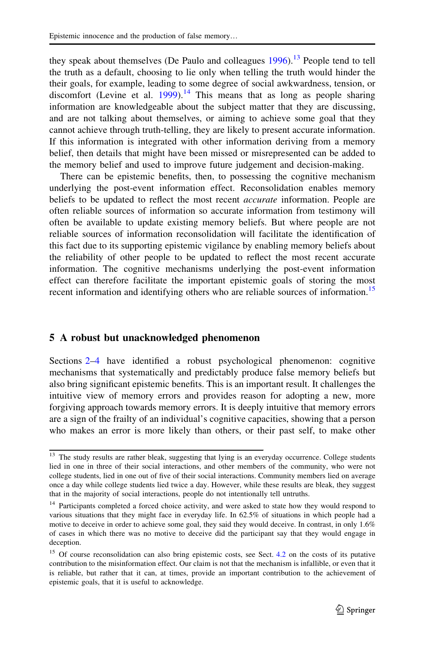they speak about themselves (De Paulo and colleagues  $1996$ ).<sup>13</sup> People tend to tell the truth as a default, choosing to lie only when telling the truth would hinder the their goals, for example, leading to some degree of social awkwardness, tension, or discomfort (Levine et al. [1999\)](#page-25-0).<sup>14</sup> This means that as long as people sharing information are knowledgeable about the subject matter that they are discussing, and are not talking about themselves, or aiming to achieve some goal that they cannot achieve through truth-telling, they are likely to present accurate information. If this information is integrated with other information deriving from a memory belief, then details that might have been missed or misrepresented can be added to the memory belief and used to improve future judgement and decision-making.

There can be epistemic benefits, then, to possessing the cognitive mechanism underlying the post-event information effect. Reconsolidation enables memory beliefs to be updated to reflect the most recent *accurate* information. People are often reliable sources of information so accurate information from testimony will often be available to update existing memory beliefs. But where people are not reliable sources of information reconsolidation will facilitate the identification of this fact due to its supporting epistemic vigilance by enabling memory beliefs about the reliability of other people to be updated to reflect the most recent accurate information. The cognitive mechanisms underlying the post-event information effect can therefore facilitate the important epistemic goals of storing the most recent information and identifying others who are reliable sources of information.<sup>15</sup>

#### 5 A robust but unacknowledged phenomenon

Sections [2](#page-4-0)[–4](#page-11-0) have identified a robust psychological phenomenon: cognitive mechanisms that systematically and predictably produce false memory beliefs but also bring significant epistemic benefits. This is an important result. It challenges the intuitive view of memory errors and provides reason for adopting a new, more forgiving approach towards memory errors. It is deeply intuitive that memory errors are a sign of the frailty of an individual's cognitive capacities, showing that a person who makes an error is more likely than others, or their past self, to make other

<sup>&</sup>lt;sup>13</sup> The study results are rather bleak, suggesting that lying is an everyday occurrence. College students lied in one in three of their social interactions, and other members of the community, who were not college students, lied in one out of five of their social interactions. Community members lied on average once a day while college students lied twice a day. However, while these results are bleak, they suggest that in the majority of social interactions, people do not intentionally tell untruths.

<sup>&</sup>lt;sup>14</sup> Participants completed a forced choice activity, and were asked to state how they would respond to various situations that they might face in everyday life. In 62.5% of situations in which people had a motive to deceive in order to achieve some goal, they said they would deceive. In contrast, in only 1.6% of cases in which there was no motive to deceive did the participant say that they would engage in deception.

<sup>&</sup>lt;sup>15</sup> Of course reconsolidation can also bring epistemic costs, see Sect. [4.2](#page-11-0) on the costs of its putative contribution to the misinformation effect. Our claim is not that the mechanism is infallible, or even that it is reliable, but rather that it can, at times, provide an important contribution to the achievement of epistemic goals, that it is useful to acknowledge.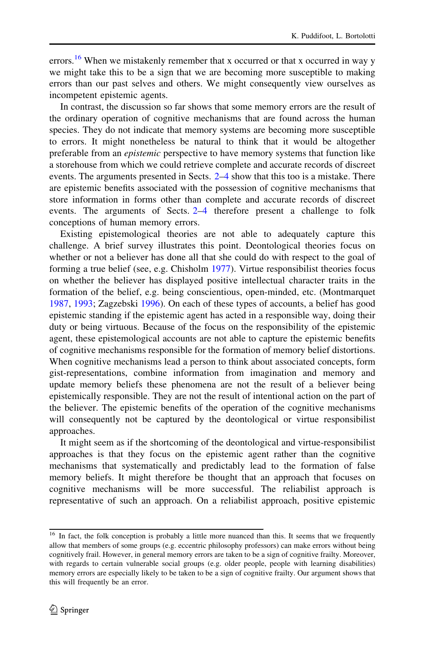errors.<sup>16</sup> When we mistakenly remember that x occurred or that x occurred in way y we might take this to be a sign that we are becoming more susceptible to making errors than our past selves and others. We might consequently view ourselves as incompetent epistemic agents.

In contrast, the discussion so far shows that some memory errors are the result of the ordinary operation of cognitive mechanisms that are found across the human species. They do not indicate that memory systems are becoming more susceptible to errors. It might nonetheless be natural to think that it would be altogether preferable from an epistemic perspective to have memory systems that function like a storehouse from which we could retrieve complete and accurate records of discreet events. The arguments presented in Sects. [2–](#page-4-0)[4](#page-11-0) show that this too is a mistake. There are epistemic benefits associated with the possession of cognitive mechanisms that store information in forms other than complete and accurate records of discreet events. The arguments of Sects. [2](#page-4-0)[–4](#page-11-0) therefore present a challenge to folk conceptions of human memory errors.

Existing epistemological theories are not able to adequately capture this challenge. A brief survey illustrates this point. Deontological theories focus on whether or not a believer has done all that she could do with respect to the goal of forming a true belief (see, e.g. Chisholm [1977\)](#page-24-0). Virtue responsibilist theories focus on whether the believer has displayed positive intellectual character traits in the formation of the belief, e.g. being conscientious, open-minded, etc. (Montmarquet [1987,](#page-25-0) [1993](#page-25-0); Zagzebski [1996\)](#page-26-0). On each of these types of accounts, a belief has good epistemic standing if the epistemic agent has acted in a responsible way, doing their duty or being virtuous. Because of the focus on the responsibility of the epistemic agent, these epistemological accounts are not able to capture the epistemic benefits of cognitive mechanisms responsible for the formation of memory belief distortions. When cognitive mechanisms lead a person to think about associated concepts, form gist-representations, combine information from imagination and memory and update memory beliefs these phenomena are not the result of a believer being epistemically responsible. They are not the result of intentional action on the part of the believer. The epistemic benefits of the operation of the cognitive mechanisms will consequently not be captured by the deontological or virtue responsibilist approaches.

It might seem as if the shortcoming of the deontological and virtue-responsibilist approaches is that they focus on the epistemic agent rather than the cognitive mechanisms that systematically and predictably lead to the formation of false memory beliefs. It might therefore be thought that an approach that focuses on cognitive mechanisms will be more successful. The reliabilist approach is representative of such an approach. On a reliabilist approach, positive epistemic

<sup>&</sup>lt;sup>16</sup> In fact, the folk conception is probably a little more nuanced than this. It seems that we frequently allow that members of some groups (e.g. eccentric philosophy professors) can make errors without being cognitively frail. However, in general memory errors are taken to be a sign of cognitive frailty. Moreover, with regards to certain vulnerable social groups (e.g. older people, people with learning disabilities) memory errors are especially likely to be taken to be a sign of cognitive frailty. Our argument shows that this will frequently be an error.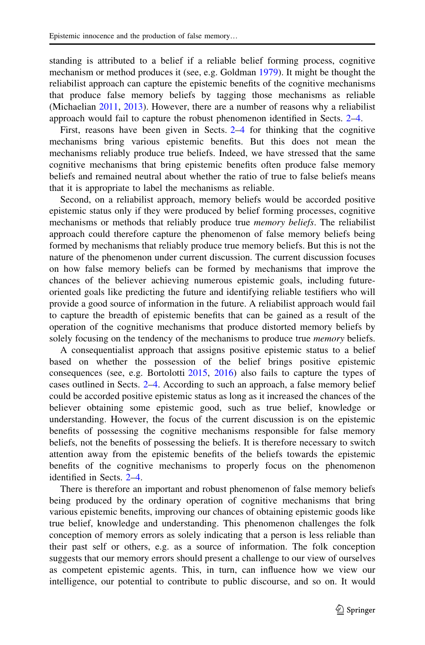standing is attributed to a belief if a reliable belief forming process, cognitive mechanism or method produces it (see, e.g. Goldman [1979\)](#page-24-0). It might be thought the reliabilist approach can capture the epistemic benefits of the cognitive mechanisms that produce false memory beliefs by tagging those mechanisms as reliable (Michaelian [2011](#page-25-0), [2013\)](#page-25-0). However, there are a number of reasons why a reliabilist approach would fail to capture the robust phenomenon identified in Sects. [2](#page-4-0)[–4](#page-11-0).

First, reasons have been given in Sects. [2](#page-4-0)[–4](#page-11-0) for thinking that the cognitive mechanisms bring various epistemic benefits. But this does not mean the mechanisms reliably produce true beliefs. Indeed, we have stressed that the same cognitive mechanisms that bring epistemic benefits often produce false memory beliefs and remained neutral about whether the ratio of true to false beliefs means that it is appropriate to label the mechanisms as reliable.

Second, on a reliabilist approach, memory beliefs would be accorded positive epistemic status only if they were produced by belief forming processes, cognitive mechanisms or methods that reliably produce true *memory beliefs*. The reliabilist approach could therefore capture the phenomenon of false memory beliefs being formed by mechanisms that reliably produce true memory beliefs. But this is not the nature of the phenomenon under current discussion. The current discussion focuses on how false memory beliefs can be formed by mechanisms that improve the chances of the believer achieving numerous epistemic goals, including futureoriented goals like predicting the future and identifying reliable testifiers who will provide a good source of information in the future. A reliabilist approach would fail to capture the breadth of epistemic benefits that can be gained as a result of the operation of the cognitive mechanisms that produce distorted memory beliefs by solely focusing on the tendency of the mechanisms to produce true *memory* beliefs.

A consequentialist approach that assigns positive epistemic status to a belief based on whether the possession of the belief brings positive epistemic consequences (see, e.g. Bortolotti [2015,](#page-24-0) [2016\)](#page-24-0) also fails to capture the types of cases outlined in Sects. [2](#page-4-0)[–4](#page-11-0). According to such an approach, a false memory belief could be accorded positive epistemic status as long as it increased the chances of the believer obtaining some epistemic good, such as true belief, knowledge or understanding. However, the focus of the current discussion is on the epistemic benefits of possessing the cognitive mechanisms responsible for false memory beliefs, not the benefits of possessing the beliefs. It is therefore necessary to switch attention away from the epistemic benefits of the beliefs towards the epistemic benefits of the cognitive mechanisms to properly focus on the phenomenon identified in Sects. [2](#page-4-0)[–4](#page-11-0).

There is therefore an important and robust phenomenon of false memory beliefs being produced by the ordinary operation of cognitive mechanisms that bring various epistemic benefits, improving our chances of obtaining epistemic goods like true belief, knowledge and understanding. This phenomenon challenges the folk conception of memory errors as solely indicating that a person is less reliable than their past self or others, e.g. as a source of information. The folk conception suggests that our memory errors should present a challenge to our view of ourselves as competent epistemic agents. This, in turn, can influence how we view our intelligence, our potential to contribute to public discourse, and so on. It would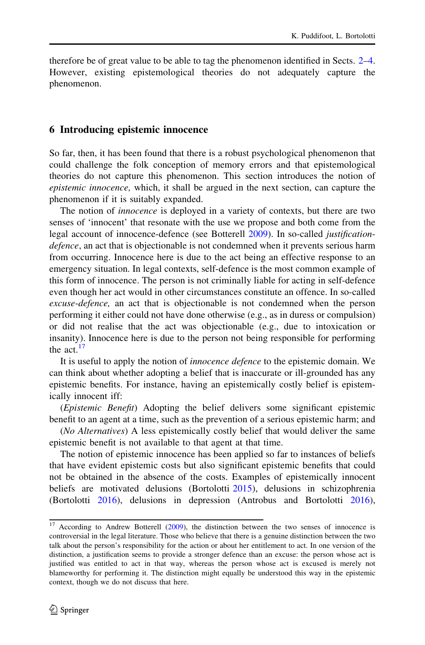therefore be of great value to be able to tag the phenomenon identified in Sects. [2–](#page-4-0)[4.](#page-11-0) However, existing epistemological theories do not adequately capture the phenomenon.

#### 6 Introducing epistemic innocence

So far, then, it has been found that there is a robust psychological phenomenon that could challenge the folk conception of memory errors and that epistemological theories do not capture this phenomenon. This section introduces the notion of epistemic innocence, which, it shall be argued in the next section, can capture the phenomenon if it is suitably expanded.

The notion of *innocence* is deployed in a variety of contexts, but there are two senses of 'innocent' that resonate with the use we propose and both come from the legal account of innocence-defence (see Botterell [2009](#page-24-0)). In so-called justificationdefence, an act that is objectionable is not condemned when it prevents serious harm from occurring. Innocence here is due to the act being an effective response to an emergency situation. In legal contexts, self-defence is the most common example of this form of innocence. The person is not criminally liable for acting in self-defence even though her act would in other circumstances constitute an offence. In so-called excuse-defence, an act that is objectionable is not condemned when the person performing it either could not have done otherwise (e.g., as in duress or compulsion) or did not realise that the act was objectionable (e.g., due to intoxication or insanity). Innocence here is due to the person not being responsible for performing the act  $17$ 

It is useful to apply the notion of *innocence defence* to the epistemic domain. We can think about whether adopting a belief that is inaccurate or ill-grounded has any epistemic benefits. For instance, having an epistemically costly belief is epistemically innocent iff:

(Epistemic Benefit) Adopting the belief delivers some significant epistemic benefit to an agent at a time, such as the prevention of a serious epistemic harm; and

(No Alternatives) A less epistemically costly belief that would deliver the same epistemic benefit is not available to that agent at that time.

The notion of epistemic innocence has been applied so far to instances of beliefs that have evident epistemic costs but also significant epistemic benefits that could not be obtained in the absence of the costs. Examples of epistemically innocent beliefs are motivated delusions (Bortolotti [2015\)](#page-24-0), delusions in schizophrenia (Bortolotti [2016\)](#page-24-0), delusions in depression (Antrobus and Bortolotti [2016\)](#page-24-0),

 $17$  According to Andrew Botterell ([2009\)](#page-24-0), the distinction between the two senses of innocence is controversial in the legal literature. Those who believe that there is a genuine distinction between the two talk about the person's responsibility for the action or about her entitlement to act. In one version of the distinction, a justification seems to provide a stronger defence than an excuse: the person whose act is justified was entitled to act in that way, whereas the person whose act is excused is merely not blameworthy for performing it. The distinction might equally be understood this way in the epistemic context, though we do not discuss that here.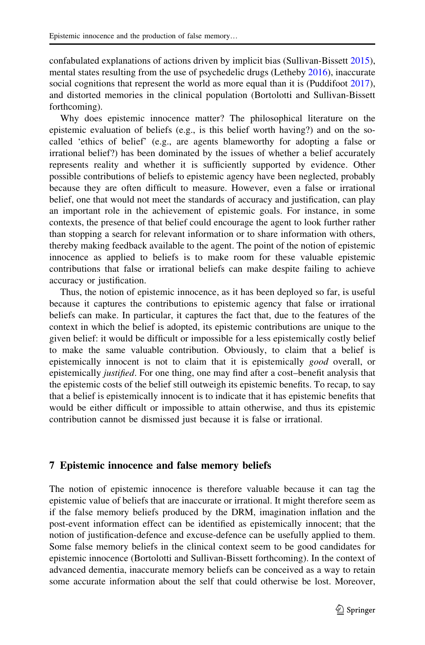confabulated explanations of actions driven by implicit bias (Sullivan-Bissett [2015\)](#page-26-0), mental states resulting from the use of psychedelic drugs (Letheby [2016\)](#page-25-0), inaccurate social cognitions that represent the world as more equal than it is (Puddifoot [2017\)](#page-25-0), and distorted memories in the clinical population (Bortolotti and Sullivan-Bissett forthcoming).

Why does epistemic innocence matter? The philosophical literature on the epistemic evaluation of beliefs (e.g., is this belief worth having?) and on the socalled 'ethics of belief' (e.g., are agents blameworthy for adopting a false or irrational belief?) has been dominated by the issues of whether a belief accurately represents reality and whether it is sufficiently supported by evidence. Other possible contributions of beliefs to epistemic agency have been neglected, probably because they are often difficult to measure. However, even a false or irrational belief, one that would not meet the standards of accuracy and justification, can play an important role in the achievement of epistemic goals. For instance, in some contexts, the presence of that belief could encourage the agent to look further rather than stopping a search for relevant information or to share information with others, thereby making feedback available to the agent. The point of the notion of epistemic innocence as applied to beliefs is to make room for these valuable epistemic contributions that false or irrational beliefs can make despite failing to achieve accuracy or justification.

Thus, the notion of epistemic innocence, as it has been deployed so far, is useful because it captures the contributions to epistemic agency that false or irrational beliefs can make. In particular, it captures the fact that, due to the features of the context in which the belief is adopted, its epistemic contributions are unique to the given belief: it would be difficult or impossible for a less epistemically costly belief to make the same valuable contribution. Obviously, to claim that a belief is epistemically innocent is not to claim that it is epistemically good overall, or epistemically justified. For one thing, one may find after a cost–benefit analysis that the epistemic costs of the belief still outweigh its epistemic benefits. To recap, to say that a belief is epistemically innocent is to indicate that it has epistemic benefits that would be either difficult or impossible to attain otherwise, and thus its epistemic contribution cannot be dismissed just because it is false or irrational.

## 7 Epistemic innocence and false memory beliefs

The notion of epistemic innocence is therefore valuable because it can tag the epistemic value of beliefs that are inaccurate or irrational. It might therefore seem as if the false memory beliefs produced by the DRM, imagination inflation and the post-event information effect can be identified as epistemically innocent; that the notion of justification-defence and excuse-defence can be usefully applied to them. Some false memory beliefs in the clinical context seem to be good candidates for epistemic innocence (Bortolotti and Sullivan-Bissett forthcoming). In the context of advanced dementia, inaccurate memory beliefs can be conceived as a way to retain some accurate information about the self that could otherwise be lost. Moreover,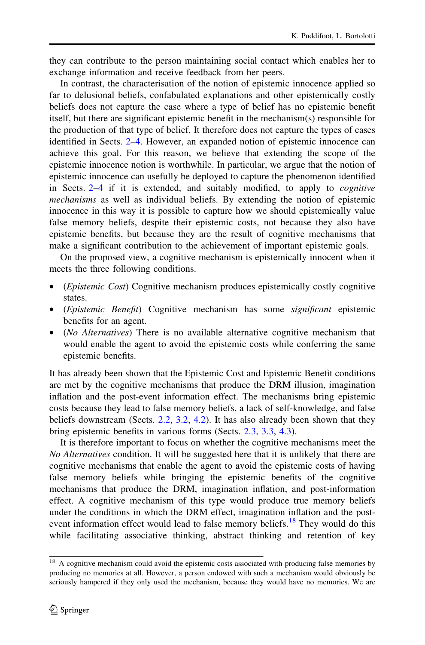they can contribute to the person maintaining social contact which enables her to exchange information and receive feedback from her peers.

In contrast, the characterisation of the notion of epistemic innocence applied so far to delusional beliefs, confabulated explanations and other epistemically costly beliefs does not capture the case where a type of belief has no epistemic benefit itself, but there are significant epistemic benefit in the mechanism(s) responsible for the production of that type of belief. It therefore does not capture the types of cases identified in Sects. [2](#page-4-0)[–4](#page-11-0). However, an expanded notion of epistemic innocence can achieve this goal. For this reason, we believe that extending the scope of the epistemic innocence notion is worthwhile. In particular, we argue that the notion of epistemic innocence can usefully be deployed to capture the phenomenon identified in Sects.  $2-4$  $2-4$  if it is extended, and suitably modified, to apply to *cognitive* mechanisms as well as individual beliefs. By extending the notion of epistemic innocence in this way it is possible to capture how we should epistemically value false memory beliefs, despite their epistemic costs, not because they also have epistemic benefits, but because they are the result of cognitive mechanisms that make a significant contribution to the achievement of important epistemic goals.

On the proposed view, a cognitive mechanism is epistemically innocent when it meets the three following conditions.

- (Epistemic Cost) Cognitive mechanism produces epistemically costly cognitive states.
- (Epistemic Benefit) Cognitive mechanism has some significant epistemic benefits for an agent.
- (*No Alternatives*) There is no available alternative cognitive mechanism that would enable the agent to avoid the epistemic costs while conferring the same epistemic benefits.

It has already been shown that the Epistemic Cost and Epistemic Benefit conditions are met by the cognitive mechanisms that produce the DRM illusion, imagination inflation and the post-event information effect. The mechanisms bring epistemic costs because they lead to false memory beliefs, a lack of self-knowledge, and false beliefs downstream (Sects. [2.2](#page-5-0), [3.2,](#page-9-0) [4.2\)](#page-11-0). It has also already been shown that they bring epistemic benefits in various forms (Sects. [2.3,](#page-5-0) [3.3](#page-9-0), [4.3](#page-12-0)).

It is therefore important to focus on whether the cognitive mechanisms meet the No Alternatives condition. It will be suggested here that it is unlikely that there are cognitive mechanisms that enable the agent to avoid the epistemic costs of having false memory beliefs while bringing the epistemic benefits of the cognitive mechanisms that produce the DRM, imagination inflation, and post-information effect. A cognitive mechanism of this type would produce true memory beliefs under the conditions in which the DRM effect, imagination inflation and the postevent information effect would lead to false memory beliefs.<sup>18</sup> They would do this while facilitating associative thinking, abstract thinking and retention of key

<sup>&</sup>lt;sup>18</sup> A cognitive mechanism could avoid the epistemic costs associated with producing false memories by producing no memories at all. However, a person endowed with such a mechanism would obviously be seriously hampered if they only used the mechanism, because they would have no memories. We are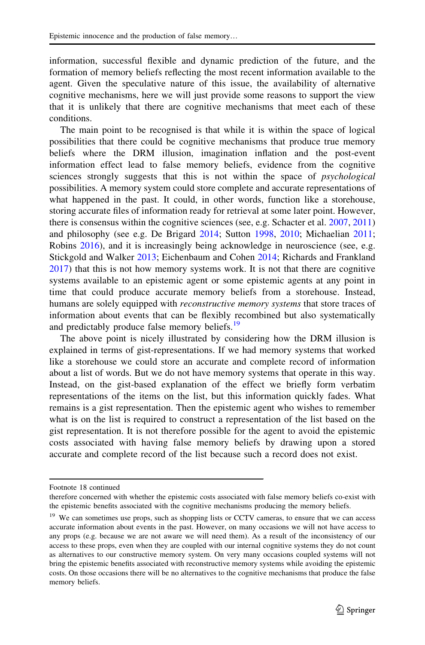information, successful flexible and dynamic prediction of the future, and the formation of memory beliefs reflecting the most recent information available to the agent. Given the speculative nature of this issue, the availability of alternative cognitive mechanisms, here we will just provide some reasons to support the view that it is unlikely that there are cognitive mechanisms that meet each of these conditions.

The main point to be recognised is that while it is within the space of logical possibilities that there could be cognitive mechanisms that produce true memory beliefs where the DRM illusion, imagination inflation and the post-event information effect lead to false memory beliefs, evidence from the cognitive sciences strongly suggests that this is not within the space of *psychological* possibilities. A memory system could store complete and accurate representations of what happened in the past. It could, in other words, function like a storehouse, storing accurate files of information ready for retrieval at some later point. However, there is consensus within the cognitive sciences (see, e.g. Schacter et al. [2007](#page-25-0), [2011](#page-26-0)) and philosophy (see e.g. De Brigard [2014](#page-24-0); Sutton [1998](#page-26-0), [2010;](#page-26-0) Michaelian [2011;](#page-25-0) Robins [2016\)](#page-25-0), and it is increasingly being acknowledge in neuroscience (see, e.g. Stickgold and Walker [2013;](#page-26-0) Eichenbaum and Cohen [2014;](#page-24-0) Richards and Frankland [2017\)](#page-25-0) that this is not how memory systems work. It is not that there are cognitive systems available to an epistemic agent or some epistemic agents at any point in time that could produce accurate memory beliefs from a storehouse. Instead, humans are solely equipped with *reconstructive memory systems* that store traces of information about events that can be flexibly recombined but also systematically and predictably produce false memory beliefs.<sup>19</sup>

The above point is nicely illustrated by considering how the DRM illusion is explained in terms of gist-representations. If we had memory systems that worked like a storehouse we could store an accurate and complete record of information about a list of words. But we do not have memory systems that operate in this way. Instead, on the gist-based explanation of the effect we briefly form verbatim representations of the items on the list, but this information quickly fades. What remains is a gist representation. Then the epistemic agent who wishes to remember what is on the list is required to construct a representation of the list based on the gist representation. It is not therefore possible for the agent to avoid the epistemic costs associated with having false memory beliefs by drawing upon a stored accurate and complete record of the list because such a record does not exist.

Footnote 18 continued

therefore concerned with whether the epistemic costs associated with false memory beliefs co-exist with the epistemic benefits associated with the cognitive mechanisms producing the memory beliefs.

 $19$  We can sometimes use props, such as shopping lists or CCTV cameras, to ensure that we can access accurate information about events in the past. However, on many occasions we will not have access to any props (e.g. because we are not aware we will need them). As a result of the inconsistency of our access to these props, even when they are coupled with our internal cognitive systems they do not count as alternatives to our constructive memory system. On very many occasions coupled systems will not bring the epistemic benefits associated with reconstructive memory systems while avoiding the epistemic costs. On those occasions there will be no alternatives to the cognitive mechanisms that produce the false memory beliefs.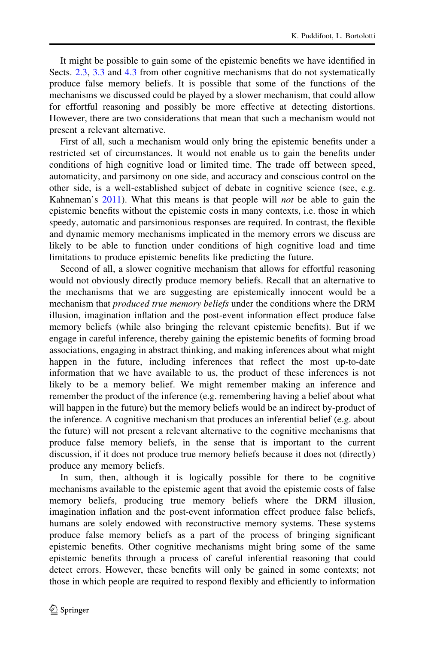It might be possible to gain some of the epistemic benefits we have identified in Sects. [2.3](#page-5-0), [3.3](#page-9-0) and [4.3](#page-12-0) from other cognitive mechanisms that do not systematically produce false memory beliefs. It is possible that some of the functions of the mechanisms we discussed could be played by a slower mechanism, that could allow for effortful reasoning and possibly be more effective at detecting distortions. However, there are two considerations that mean that such a mechanism would not present a relevant alternative.

First of all, such a mechanism would only bring the epistemic benefits under a restricted set of circumstances. It would not enable us to gain the benefits under conditions of high cognitive load or limited time. The trade off between speed, automaticity, and parsimony on one side, and accuracy and conscious control on the other side, is a well-established subject of debate in cognitive science (see, e.g. Kahneman's  $2011$ ). What this means is that people will *not* be able to gain the epistemic benefits without the epistemic costs in many contexts, i.e. those in which speedy, automatic and parsimonious responses are required. In contrast, the flexible and dynamic memory mechanisms implicated in the memory errors we discuss are likely to be able to function under conditions of high cognitive load and time limitations to produce epistemic benefits like predicting the future.

Second of all, a slower cognitive mechanism that allows for effortful reasoning would not obviously directly produce memory beliefs. Recall that an alternative to the mechanisms that we are suggesting are epistemically innocent would be a mechanism that produced true memory beliefs under the conditions where the DRM illusion, imagination inflation and the post-event information effect produce false memory beliefs (while also bringing the relevant epistemic benefits). But if we engage in careful inference, thereby gaining the epistemic benefits of forming broad associations, engaging in abstract thinking, and making inferences about what might happen in the future, including inferences that reflect the most up-to-date information that we have available to us, the product of these inferences is not likely to be a memory belief. We might remember making an inference and remember the product of the inference (e.g. remembering having a belief about what will happen in the future) but the memory beliefs would be an indirect by-product of the inference. A cognitive mechanism that produces an inferential belief (e.g. about the future) will not present a relevant alternative to the cognitive mechanisms that produce false memory beliefs, in the sense that is important to the current discussion, if it does not produce true memory beliefs because it does not (directly) produce any memory beliefs.

In sum, then, although it is logically possible for there to be cognitive mechanisms available to the epistemic agent that avoid the epistemic costs of false memory beliefs, producing true memory beliefs where the DRM illusion, imagination inflation and the post-event information effect produce false beliefs, humans are solely endowed with reconstructive memory systems. These systems produce false memory beliefs as a part of the process of bringing significant epistemic benefits. Other cognitive mechanisms might bring some of the same epistemic benefits through a process of careful inferential reasoning that could detect errors. However, these benefits will only be gained in some contexts; not those in which people are required to respond flexibly and efficiently to information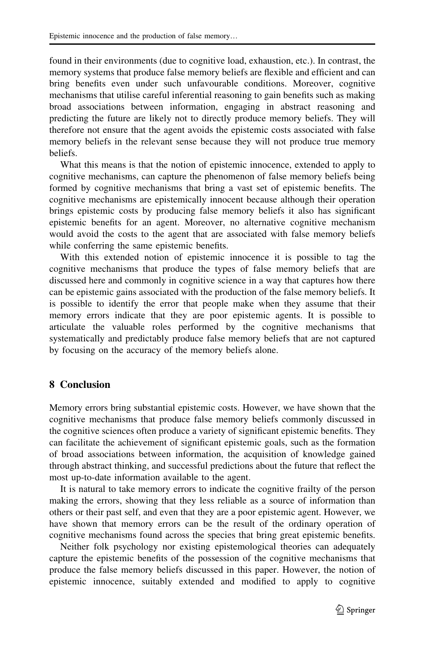found in their environments (due to cognitive load, exhaustion, etc.). In contrast, the memory systems that produce false memory beliefs are flexible and efficient and can bring benefits even under such unfavourable conditions. Moreover, cognitive mechanisms that utilise careful inferential reasoning to gain benefits such as making broad associations between information, engaging in abstract reasoning and predicting the future are likely not to directly produce memory beliefs. They will therefore not ensure that the agent avoids the epistemic costs associated with false memory beliefs in the relevant sense because they will not produce true memory beliefs.

What this means is that the notion of epistemic innocence, extended to apply to cognitive mechanisms, can capture the phenomenon of false memory beliefs being formed by cognitive mechanisms that bring a vast set of epistemic benefits. The cognitive mechanisms are epistemically innocent because although their operation brings epistemic costs by producing false memory beliefs it also has significant epistemic benefits for an agent. Moreover, no alternative cognitive mechanism would avoid the costs to the agent that are associated with false memory beliefs while conferring the same epistemic benefits.

With this extended notion of epistemic innocence it is possible to tag the cognitive mechanisms that produce the types of false memory beliefs that are discussed here and commonly in cognitive science in a way that captures how there can be epistemic gains associated with the production of the false memory beliefs. It is possible to identify the error that people make when they assume that their memory errors indicate that they are poor epistemic agents. It is possible to articulate the valuable roles performed by the cognitive mechanisms that systematically and predictably produce false memory beliefs that are not captured by focusing on the accuracy of the memory beliefs alone.

## 8 Conclusion

Memory errors bring substantial epistemic costs. However, we have shown that the cognitive mechanisms that produce false memory beliefs commonly discussed in the cognitive sciences often produce a variety of significant epistemic benefits. They can facilitate the achievement of significant epistemic goals, such as the formation of broad associations between information, the acquisition of knowledge gained through abstract thinking, and successful predictions about the future that reflect the most up-to-date information available to the agent.

It is natural to take memory errors to indicate the cognitive frailty of the person making the errors, showing that they less reliable as a source of information than others or their past self, and even that they are a poor epistemic agent. However, we have shown that memory errors can be the result of the ordinary operation of cognitive mechanisms found across the species that bring great epistemic benefits.

Neither folk psychology nor existing epistemological theories can adequately capture the epistemic benefits of the possession of the cognitive mechanisms that produce the false memory beliefs discussed in this paper. However, the notion of epistemic innocence, suitably extended and modified to apply to cognitive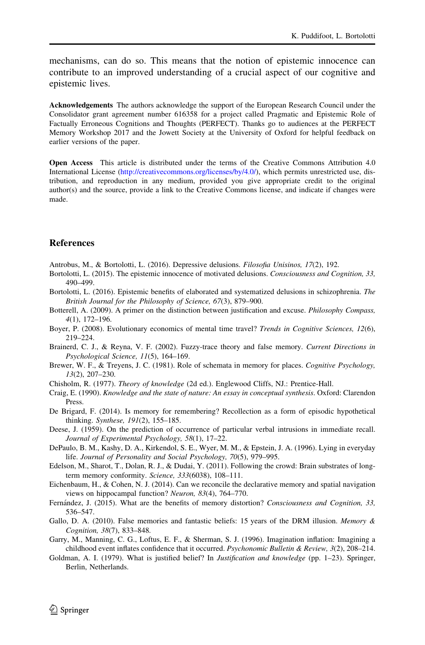<span id="page-24-0"></span>mechanisms, can do so. This means that the notion of epistemic innocence can contribute to an improved understanding of a crucial aspect of our cognitive and epistemic lives.

Acknowledgements The authors acknowledge the support of the European Research Council under the Consolidator grant agreement number 616358 for a project called Pragmatic and Epistemic Role of Factually Erroneous Cognitions and Thoughts (PERFECT). Thanks go to audiences at the PERFECT Memory Workshop 2017 and the Jowett Society at the University of Oxford for helpful feedback on earlier versions of the paper.

Open Access This article is distributed under the terms of the Creative Commons Attribution 4.0 International License ([http://creativecommons.org/licenses/by/4.0/\)](http://creativecommons.org/licenses/by/4.0/), which permits unrestricted use, distribution, and reproduction in any medium, provided you give appropriate credit to the original author(s) and the source, provide a link to the Creative Commons license, and indicate if changes were made.

#### **References**

- Antrobus, M., & Bortolotti, L. (2016). Depressive delusions. Filosofia Unisinos, 17(2), 192.
- Bortolotti, L. (2015). The epistemic innocence of motivated delusions. Consciousness and Cognition, 33, 490–499.
- Bortolotti, L. (2016). Epistemic benefits of elaborated and systematized delusions in schizophrenia. The British Journal for the Philosophy of Science, 67(3), 879–900.
- Botterell, A. (2009). A primer on the distinction between justification and excuse. Philosophy Compass, 4(1), 172–196.
- Boyer, P. (2008). Evolutionary economics of mental time travel? Trends in Cognitive Sciences, 12(6), 219–224.
- Brainerd, C. J., & Reyna, V. F. (2002). Fuzzy-trace theory and false memory. Current Directions in Psychological Science, 11(5), 164–169.
- Brewer, W. F., & Treyens, J. C. (1981). Role of schemata in memory for places. Cognitive Psychology, 13(2), 207–230.
- Chisholm, R. (1977). Theory of knowledge (2d ed.). Englewood Cliffs, NJ.: Prentice-Hall.
- Craig, E. (1990). Knowledge and the state of nature: An essay in conceptual synthesis. Oxford: Clarendon Press.
- De Brigard, F. (2014). Is memory for remembering? Recollection as a form of episodic hypothetical thinking. Synthese, 191(2), 155–185.
- Deese, J. (1959). On the prediction of occurrence of particular verbal intrusions in immediate recall. Journal of Experimental Psychology, 58(1), 17–22.
- DePaulo, B. M., Kashy, D. A., Kirkendol, S. E., Wyer, M. M., & Epstein, J. A. (1996). Lying in everyday life. Journal of Personality and Social Psychology, 70(5), 979–995.
- Edelson, M., Sharot, T., Dolan, R. J., & Dudai, Y. (2011). Following the crowd: Brain substrates of longterm memory conformity. Science, 333(6038), 108–111.
- Eichenbaum, H., & Cohen, N. J. (2014). Can we reconcile the declarative memory and spatial navigation views on hippocampal function? Neuron, 83(4), 764–770.
- Fernández, J. (2015). What are the benefits of memory distortion? Consciousness and Cognition, 33, 536–547.
- Gallo, D. A. (2010). False memories and fantastic beliefs: 15 years of the DRM illusion. Memory & Cognition, 38(7), 833–848.
- Garry, M., Manning, C. G., Loftus, E. F., & Sherman, S. J. (1996). Imagination inflation: Imagining a childhood event inflates confidence that it occurred. Psychonomic Bulletin & Review, 3(2), 208–214.
- Goldman, A. I. (1979). What is justified belief? In *Justification and knowledge* (pp. 1–23). Springer, Berlin, Netherlands.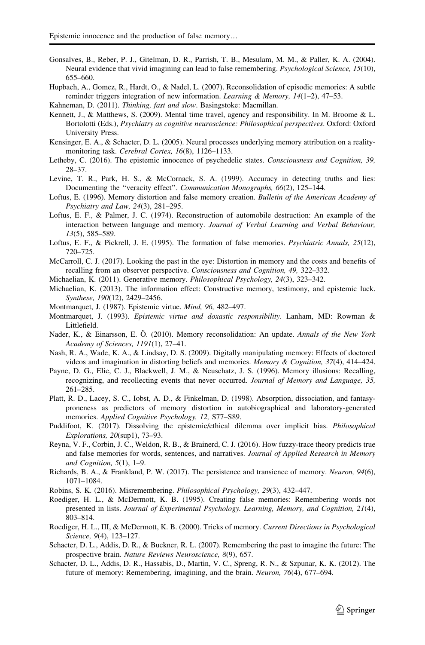- <span id="page-25-0"></span>Gonsalves, B., Reber, P. J., Gitelman, D. R., Parrish, T. B., Mesulam, M. M., & Paller, K. A. (2004). Neural evidence that vivid imagining can lead to false remembering. Psychological Science, 15(10), 655–660.
- Hupbach, A., Gomez, R., Hardt, O., & Nadel, L. (2007). Reconsolidation of episodic memories: A subtle reminder triggers integration of new information. Learning & Memory,  $14(1-2)$ ,  $47-53$ .

Kahneman, D. (2011). Thinking, fast and slow. Basingstoke: Macmillan.

- Kennett, J., & Matthews, S. (2009). Mental time travel, agency and responsibility. In M. Broome & L. Bortolotti (Eds.), Psychiatry as cognitive neuroscience: Philosophical perspectives. Oxford: Oxford University Press.
- Kensinger, E. A., & Schacter, D. L. (2005). Neural processes underlying memory attribution on a realitymonitoring task. Cerebral Cortex, 16(8), 1126–1133.
- Letheby, C. (2016). The epistemic innocence of psychedelic states. Consciousness and Cognition, 39, 28–37.
- Levine, T. R., Park, H. S., & McCornack, S. A. (1999). Accuracy in detecting truths and lies: Documenting the ''veracity effect''. Communication Monographs, 66(2), 125–144.
- Loftus, E. (1996). Memory distortion and false memory creation. Bulletin of the American Academy of Psychiatry and Law, 24(3), 281–295.
- Loftus, E. F., & Palmer, J. C. (1974). Reconstruction of automobile destruction: An example of the interaction between language and memory. Journal of Verbal Learning and Verbal Behaviour, 13(5), 585–589.
- Loftus, E. F., & Pickrell, J. E. (1995). The formation of false memories. *Psychiatric Annals*, 25(12), 720–725.
- McCarroll, C. J. (2017). Looking the past in the eye: Distortion in memory and the costs and benefits of recalling from an observer perspective. Consciousness and Cognition, 49, 322–332.
- Michaelian, K. (2011). Generative memory. Philosophical Psychology, 24(3), 323–342.
- Michaelian, K. (2013). The information effect: Constructive memory, testimony, and epistemic luck. Synthese, 190(12), 2429–2456.
- Montmarquet, J. (1987). Epistemic virtue. Mind, 96, 482–497.
- Montmarquet, J. (1993). Epistemic virtue and doxastic responsibility. Lanham, MD: Rowman & Littlefield.
- Nader, K., & Einarsson, E. Ö. (2010). Memory reconsolidation: An update. Annals of the New York Academy of Sciences, 1191(1), 27–41.
- Nash, R. A., Wade, K. A., & Lindsay, D. S. (2009). Digitally manipulating memory: Effects of doctored videos and imagination in distorting beliefs and memories. Memory & Cognition, 37(4), 414–424.
- Payne, D. G., Elie, C. J., Blackwell, J. M., & Neuschatz, J. S. (1996). Memory illusions: Recalling, recognizing, and recollecting events that never occurred. Journal of Memory and Language, 35, 261–285.
- Platt, R. D., Lacey, S. C., Iobst, A. D., & Finkelman, D. (1998). Absorption, dissociation, and fantasyproneness as predictors of memory distortion in autobiographical and laboratory-generated memories. Applied Cognitive Psychology, 12, S77–S89.
- Puddifoot, K. (2017). Dissolving the epistemic/ethical dilemma over implicit bias. Philosophical Explorations, 20(sup1), 73–93.
- Reyna, V. F., Corbin, J. C., Weldon, R. B., & Brainerd, C. J. (2016). How fuzzy-trace theory predicts true and false memories for words, sentences, and narratives. Journal of Applied Research in Memory and Cognition, 5(1), 1–9.
- Richards, B. A., & Frankland, P. W. (2017). The persistence and transience of memory. Neuron, 94(6), 1071–1084.
- Robins, S. K. (2016). Misremembering. Philosophical Psychology, 29(3), 432–447.
- Roediger, H. L., & McDermott, K. B. (1995). Creating false memories: Remembering words not presented in lists. Journal of Experimental Psychology. Learning, Memory, and Cognition, 21(4), 803–814.
- Roediger, H. L., III, & McDermott, K. B. (2000). Tricks of memory. Current Directions in Psychological Science, 9(4), 123–127.
- Schacter, D. L., Addis, D. R., & Buckner, R. L. (2007). Remembering the past to imagine the future: The prospective brain. Nature Reviews Neuroscience, 8(9), 657.
- Schacter, D. L., Addis, D. R., Hassabis, D., Martin, V. C., Spreng, R. N., & Szpunar, K. K. (2012). The future of memory: Remembering, imagining, and the brain. Neuron, 76(4), 677–694.